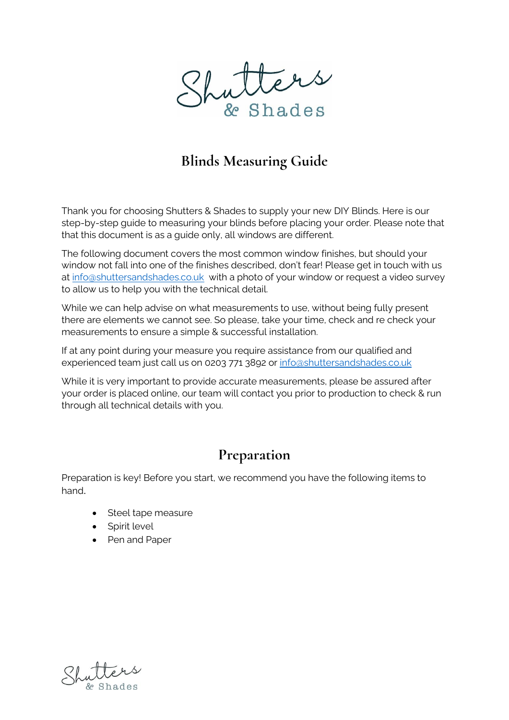

# **Blinds Measuring Guide**

Thank you for choosing Shutters & Shades to supply your new DIY Blinds. Here is our step-by-step guide to measuring your blinds before placing your order. Please note that that this document is as a guide only, all windows are different.

The following document covers the most common window finishes, but should your window not fall into one of the finishes described, don't fear! Please get in touch with us at [info@shuttersandshades.co.uk](mailto:info@shuttersandshades.co.uk) with a photo of your window or request a video survey to allow us to help you with the technical detail.

While we can help advise on what measurements to use, without being fully present there are elements we cannot see. So please, take your time, check and re check your measurements to ensure a simple & successful installation.

If at any point during your measure you require assistance from our qualified and experienced team just call us on 0203 771 3892 or [info@shuttersandshades.co.uk](mailto:info@shuttersandshades.co.uk)

While it is very important to provide accurate measurements, please be assured after your order is placed online, our team will contact you prior to production to check & run through all technical details with you.

#### **Preparation**

Preparation is key! Before you start, we recommend you have the following items to hand.

- Steel tape measure
- Spirit level
- Pen and Paper

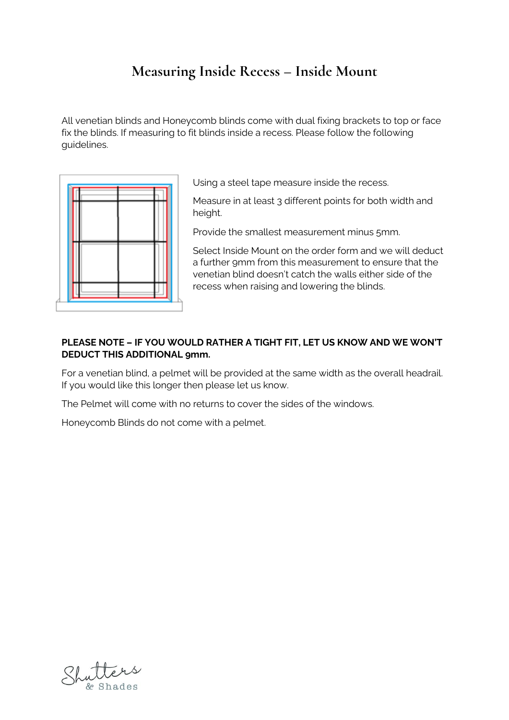# **Measuring Inside Recess – Inside Mount**

All venetian blinds and Honeycomb blinds come with dual fixing brackets to top or face fix the blinds. If measuring to fit blinds inside a recess. Please follow the following guidelines.



Using a steel tape measure inside the recess.

Measure in at least 3 different points for both width and height.

Provide the smallest measurement minus 5mm.

Select Inside Mount on the order form and we will deduct a further 9mm from this measurement to ensure that the venetian blind doesn't catch the walls either side of the recess when raising and lowering the blinds.

#### **PLEASE NOTE – IF YOU WOULD RATHER A TIGHT FIT, LET US KNOW AND WE WON'T DEDUCT THIS ADDITIONAL 9mm.**

For a venetian blind, a pelmet will be provided at the same width as the overall headrail. If you would like this longer then please let us know.

The Pelmet will come with no returns to cover the sides of the windows.

Honeycomb Blinds do not come with a pelmet.

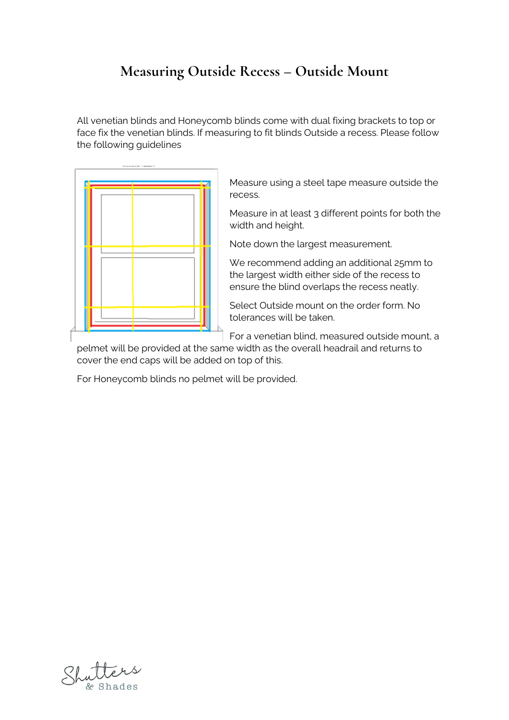# **Measuring Outside Recess – Outside Mount**

All venetian blinds and Honeycomb blinds come with dual fixing brackets to top or face fix the venetian blinds. If measuring to fit blinds Outside a recess. Please follow the following guidelines



Measure using a steel tape measure outside the recess.

Measure in at least 3 different points for both the width and height.

Note down the largest measurement.

We recommend adding an additional 25mm to the largest width either side of the recess to ensure the blind overlaps the recess neatly.

Select Outside mount on the order form. No tolerances will be taken.

For a venetian blind, measured outside mount, a

pelmet will be provided at the same width as the overall headrail and returns to cover the end caps will be added on top of this.

For Honeycomb blinds no pelmet will be provided.